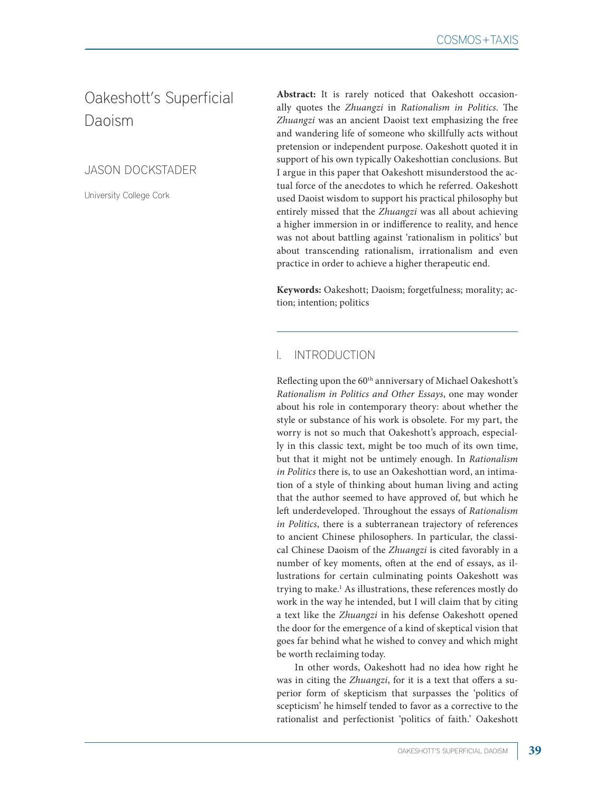# Oakeshott's Superficial Daoism

JASON DOCKSTADER

University College Cork

**Abstract:** It is rarely noticed that Oakeshott occasionally quotes the *Zhuangzi* in *Rationalism in Politics*. The *Zhuangzi* was an ancient Daoist text emphasizing the free and wandering life of someone who skillfully acts without pretension or independent purpose. Oakeshott quoted it in support of his own typically Oakeshottian conclusions. But I argue in this paper that Oakeshott misunderstood the actual force of the anecdotes to which he referred. Oakeshott used Daoist wisdom to support his practical philosophy but entirely missed that the *Zhuangzi* was all about achieving a higher immersion in or indifference to reality, and hence was not about battling against 'rationalism in politics' but about transcending rationalism, irrationalism and even practice in order to achieve a higher therapeutic end.

**Keywords:** Oakeshott; Daoism; forgetfulness; morality; action; intention; politics

## **INTRODUCTION**

Reflecting upon the 60<sup>th</sup> anniversary of Michael Oakeshott's *Rationalism in Politics and Other Essays*, one may wonder about his role in contemporary theory: about whether the style or substance of his work is obsolete. For my part, the worry is not so much that Oakeshott's approach, especially in this classic text, might be too much of its own time, but that it might not be untimely enough. In *Rationalism in Politics* there is, to use an Oakeshottian word, an intimation of a style of thinking about human living and acting that the author seemed to have approved of, but which he left underdeveloped. Throughout the essays of *Rationalism in Politics*, there is a subterranean trajectory of references to ancient Chinese philosophers. In particular, the classical Chinese Daoism of the *Zhuangzi* is cited favorably in a number of key moments, often at the end of essays, as illustrations for certain culminating points Oakeshott was trying to make.1 As illustrations, these references mostly do work in the way he intended, but I will claim that by citing a text like the *Zhuangzi* in his defense Oakeshott opened the door for the emergence of a kind of skeptical vision that goes far behind what he wished to convey and which might be worth reclaiming today.

In other words, Oakeshott had no idea how right he was in citing the *Zhuangzi*, for it is a text that offers a superior form of skepticism that surpasses the 'politics of scepticism' he himself tended to favor as a corrective to the rationalist and perfectionist 'politics of faith.' Oakeshott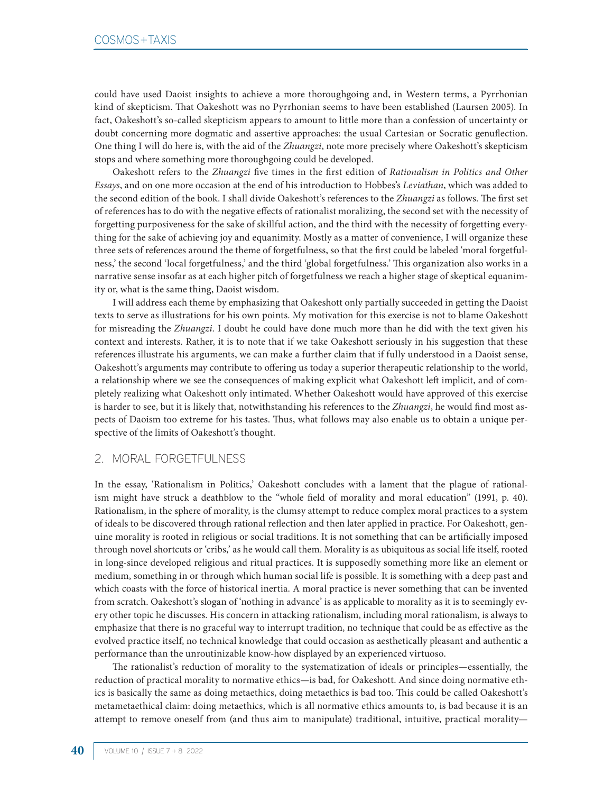could have used Daoist insights to achieve a more thoroughgoing and, in Western terms, a Pyrrhonian kind of skepticism. That Oakeshott was no Pyrrhonian seems to have been established (Laursen 2005). In fact, Oakeshott's so-called skepticism appears to amount to little more than a confession of uncertainty or doubt concerning more dogmatic and assertive approaches: the usual Cartesian or Socratic genuflection. One thing I will do here is, with the aid of the *Zhuangzi*, note more precisely where Oakeshott's skepticism stops and where something more thoroughgoing could be developed.

Oakeshott refers to the *Zhuangzi* five times in the first edition of *Rationalism in Politics and Other Essays*, and on one more occasion at the end of his introduction to Hobbes's *Leviathan*, which was added to the second edition of the book. I shall divide Oakeshott's references to the *Zhuangzi* as follows. The first set of references has to do with the negative effects of rationalist moralizing, the second set with the necessity of forgetting purposiveness for the sake of skillful action, and the third with the necessity of forgetting everything for the sake of achieving joy and equanimity. Mostly as a matter of convenience, I will organize these three sets of references around the theme of forgetfulness, so that the first could be labeled 'moral forgetfulness,' the second 'local forgetfulness,' and the third 'global forgetfulness.' This organization also works in a narrative sense insofar as at each higher pitch of forgetfulness we reach a higher stage of skeptical equanimity or, what is the same thing, Daoist wisdom.

I will address each theme by emphasizing that Oakeshott only partially succeeded in getting the Daoist texts to serve as illustrations for his own points. My motivation for this exercise is not to blame Oakeshott for misreading the *Zhuangzi*. I doubt he could have done much more than he did with the text given his context and interests. Rather, it is to note that if we take Oakeshott seriously in his suggestion that these references illustrate his arguments, we can make a further claim that if fully understood in a Daoist sense, Oakeshott's arguments may contribute to offering us today a superior therapeutic relationship to the world, a relationship where we see the consequences of making explicit what Oakeshott left implicit, and of completely realizing what Oakeshott only intimated. Whether Oakeshott would have approved of this exercise is harder to see, but it is likely that, notwithstanding his references to the *Zhuangzi*, he would find most aspects of Daoism too extreme for his tastes. Thus, what follows may also enable us to obtain a unique perspective of the limits of Oakeshott's thought.

#### 2. MORAL FORGETFULNESS

In the essay, 'Rationalism in Politics,' Oakeshott concludes with a lament that the plague of rationalism might have struck a deathblow to the "whole field of morality and moral education" (1991, p. 40). Rationalism, in the sphere of morality, is the clumsy attempt to reduce complex moral practices to a system of ideals to be discovered through rational reflection and then later applied in practice. For Oakeshott, genuine morality is rooted in religious or social traditions. It is not something that can be artificially imposed through novel shortcuts or 'cribs,' as he would call them. Morality is as ubiquitous as social life itself, rooted in long-since developed religious and ritual practices. It is supposedly something more like an element or medium, something in or through which human social life is possible. It is something with a deep past and which coasts with the force of historical inertia. A moral practice is never something that can be invented from scratch. Oakeshott's slogan of 'nothing in advance' is as applicable to morality as it is to seemingly every other topic he discusses. His concern in attacking rationalism, including moral rationalism, is always to emphasize that there is no graceful way to interrupt tradition, no technique that could be as effective as the evolved practice itself, no technical knowledge that could occasion as aesthetically pleasant and authentic a performance than the unroutinizable know-how displayed by an experienced virtuoso.

The rationalist's reduction of morality to the systematization of ideals or principles—essentially, the reduction of practical morality to normative ethics—is bad, for Oakeshott. And since doing normative ethics is basically the same as doing metaethics, doing metaethics is bad too. This could be called Oakeshott's metametaethical claim: doing metaethics, which is all normative ethics amounts to, is bad because it is an attempt to remove oneself from (and thus aim to manipulate) traditional, intuitive, practical morality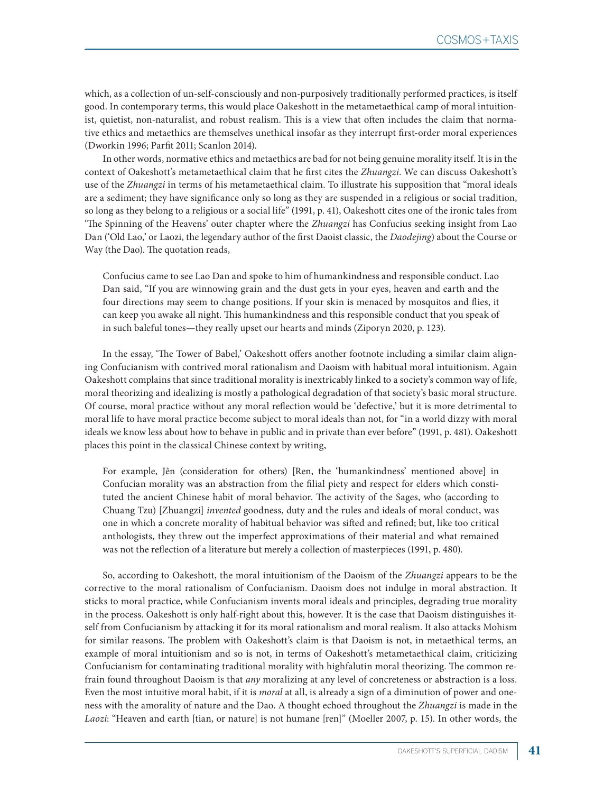which, as a collection of un-self-consciously and non-purposively traditionally performed practices, is itself good. In contemporary terms, this would place Oakeshott in the metametaethical camp of moral intuitionist, quietist, non-naturalist, and robust realism. This is a view that often includes the claim that normative ethics and metaethics are themselves unethical insofar as they interrupt first-order moral experiences (Dworkin 1996; Parfit 2011; Scanlon 2014).

In other words, normative ethics and metaethics are bad for not being genuine morality itself. It is in the context of Oakeshott's metametaethical claim that he first cites the *Zhuangzi*. We can discuss Oakeshott's use of the *Zhuangzi* in terms of his metametaethical claim. To illustrate his supposition that "moral ideals are a sediment; they have significance only so long as they are suspended in a religious or social tradition, so long as they belong to a religious or a social life" (1991, p. 41), Oakeshott cites one of the ironic tales from 'The Spinning of the Heavens' outer chapter where the *Zhuangzi* has Confucius seeking insight from Lao Dan ('Old Lao,' or Laozi, the legendary author of the first Daoist classic, the *Daodejing*) about the Course or Way (the Dao). The quotation reads,

Confucius came to see Lao Dan and spoke to him of humankindness and responsible conduct. Lao Dan said, "If you are winnowing grain and the dust gets in your eyes, heaven and earth and the four directions may seem to change positions. If your skin is menaced by mosquitos and flies, it can keep you awake all night. This humankindness and this responsible conduct that you speak of in such baleful tones—they really upset our hearts and minds (Ziporyn 2020, p. 123).

In the essay, 'The Tower of Babel,' Oakeshott offers another footnote including a similar claim aligning Confucianism with contrived moral rationalism and Daoism with habitual moral intuitionism. Again Oakeshott complains that since traditional morality is inextricably linked to a society's common way of life, moral theorizing and idealizing is mostly a pathological degradation of that society's basic moral structure. Of course, moral practice without any moral reflection would be 'defective,' but it is more detrimental to moral life to have moral practice become subject to moral ideals than not, for "in a world dizzy with moral ideals we know less about how to behave in public and in private than ever before" (1991, p. 481). Oakeshott places this point in the classical Chinese context by writing,

For example, Jên (consideration for others) [Ren, the 'humankindness' mentioned above] in Confucian morality was an abstraction from the filial piety and respect for elders which constituted the ancient Chinese habit of moral behavior. The activity of the Sages, who (according to Chuang Tzu) [Zhuangzi] *invented* goodness, duty and the rules and ideals of moral conduct, was one in which a concrete morality of habitual behavior was sifted and refined; but, like too critical anthologists, they threw out the imperfect approximations of their material and what remained was not the reflection of a literature but merely a collection of masterpieces (1991, p. 480).

So, according to Oakeshott, the moral intuitionism of the Daoism of the *Zhuangzi* appears to be the corrective to the moral rationalism of Confucianism. Daoism does not indulge in moral abstraction. It sticks to moral practice, while Confucianism invents moral ideals and principles, degrading true morality in the process. Oakeshott is only half-right about this, however. It is the case that Daoism distinguishes itself from Confucianism by attacking it for its moral rationalism and moral realism. It also attacks Mohism for similar reasons. The problem with Oakeshott's claim is that Daoism is not, in metaethical terms, an example of moral intuitionism and so is not, in terms of Oakeshott's metametaethical claim, criticizing Confucianism for contaminating traditional morality with highfalutin moral theorizing. The common refrain found throughout Daoism is that *any* moralizing at any level of concreteness or abstraction is a loss. Even the most intuitive moral habit, if it is *moral* at all, is already a sign of a diminution of power and oneness with the amorality of nature and the Dao. A thought echoed throughout the *Zhuangzi* is made in the *Laozi*: "Heaven and earth [tian, or nature] is not humane [ren]" (Moeller 2007, p. 15). In other words, the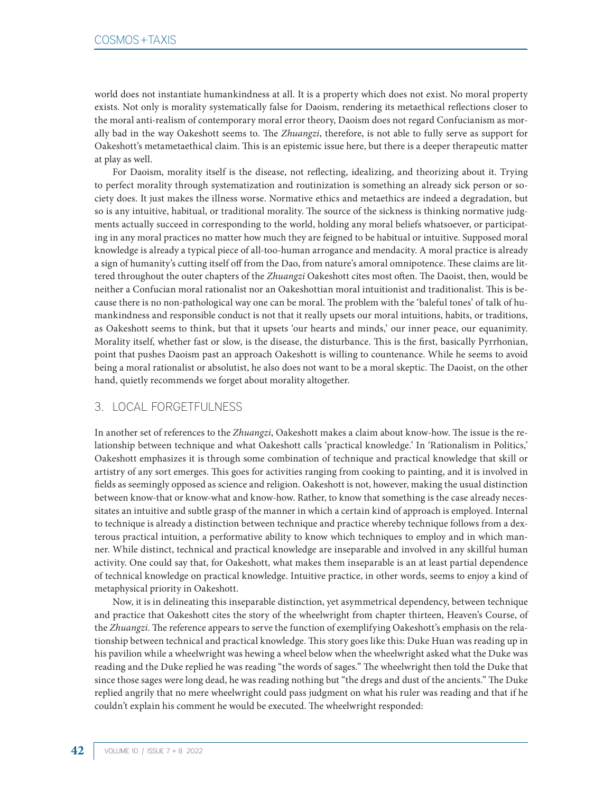world does not instantiate humankindness at all. It is a property which does not exist. No moral property exists. Not only is morality systematically false for Daoism, rendering its metaethical reflections closer to the moral anti-realism of contemporary moral error theory, Daoism does not regard Confucianism as morally bad in the way Oakeshott seems to. The *Zhuangzi*, therefore, is not able to fully serve as support for Oakeshott's metametaethical claim. This is an epistemic issue here, but there is a deeper therapeutic matter at play as well.

For Daoism, morality itself is the disease, not reflecting, idealizing, and theorizing about it. Trying to perfect morality through systematization and routinization is something an already sick person or society does. It just makes the illness worse. Normative ethics and metaethics are indeed a degradation, but so is any intuitive, habitual, or traditional morality. The source of the sickness is thinking normative judgments actually succeed in corresponding to the world, holding any moral beliefs whatsoever, or participating in any moral practices no matter how much they are feigned to be habitual or intuitive. Supposed moral knowledge is already a typical piece of all-too-human arrogance and mendacity. A moral practice is already a sign of humanity's cutting itself off from the Dao, from nature's amoral omnipotence. These claims are littered throughout the outer chapters of the *Zhuangzi* Oakeshott cites most often. The Daoist, then, would be neither a Confucian moral rationalist nor an Oakeshottian moral intuitionist and traditionalist. This is because there is no non-pathological way one can be moral. The problem with the 'baleful tones' of talk of humankindness and responsible conduct is not that it really upsets our moral intuitions, habits, or traditions, as Oakeshott seems to think, but that it upsets 'our hearts and minds,' our inner peace, our equanimity. Morality itself, whether fast or slow, is the disease, the disturbance. This is the first, basically Pyrrhonian, point that pushes Daoism past an approach Oakeshott is willing to countenance. While he seems to avoid being a moral rationalist or absolutist, he also does not want to be a moral skeptic. The Daoist, on the other hand, quietly recommends we forget about morality altogether.

## 3. LOCAL FORGETFULNESS

In another set of references to the *Zhuangzi*, Oakeshott makes a claim about know-how. The issue is the relationship between technique and what Oakeshott calls 'practical knowledge.' In 'Rationalism in Politics,' Oakeshott emphasizes it is through some combination of technique and practical knowledge that skill or artistry of any sort emerges. This goes for activities ranging from cooking to painting, and it is involved in fields as seemingly opposed as science and religion. Oakeshott is not, however, making the usual distinction between know-that or know-what and know-how. Rather, to know that something is the case already necessitates an intuitive and subtle grasp of the manner in which a certain kind of approach is employed. Internal to technique is already a distinction between technique and practice whereby technique follows from a dexterous practical intuition, a performative ability to know which techniques to employ and in which manner. While distinct, technical and practical knowledge are inseparable and involved in any skillful human activity. One could say that, for Oakeshott, what makes them inseparable is an at least partial dependence of technical knowledge on practical knowledge. Intuitive practice, in other words, seems to enjoy a kind of metaphysical priority in Oakeshott.

Now, it is in delineating this inseparable distinction, yet asymmetrical dependency, between technique and practice that Oakeshott cites the story of the wheelwright from chapter thirteen, Heaven's Course, of the *Zhuangzi*. The reference appears to serve the function of exemplifying Oakeshott's emphasis on the relationship between technical and practical knowledge. This story goes like this: Duke Huan was reading up in his pavilion while a wheelwright was hewing a wheel below when the wheelwright asked what the Duke was reading and the Duke replied he was reading "the words of sages." The wheelwright then told the Duke that since those sages were long dead, he was reading nothing but "the dregs and dust of the ancients." The Duke replied angrily that no mere wheelwright could pass judgment on what his ruler was reading and that if he couldn't explain his comment he would be executed. The wheelwright responded: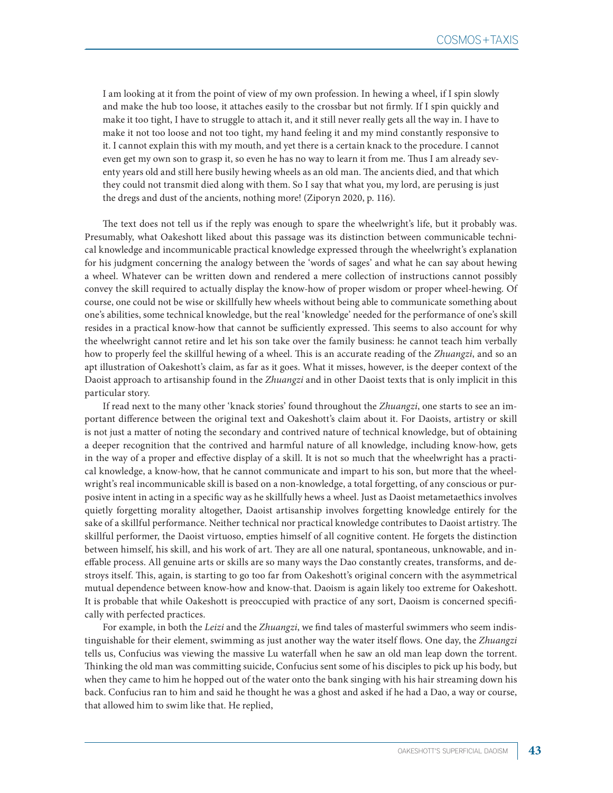I am looking at it from the point of view of my own profession. In hewing a wheel, if I spin slowly and make the hub too loose, it attaches easily to the crossbar but not firmly. If I spin quickly and make it too tight, I have to struggle to attach it, and it still never really gets all the way in. I have to make it not too loose and not too tight, my hand feeling it and my mind constantly responsive to it. I cannot explain this with my mouth, and yet there is a certain knack to the procedure. I cannot even get my own son to grasp it, so even he has no way to learn it from me. Thus I am already seventy years old and still here busily hewing wheels as an old man. The ancients died, and that which they could not transmit died along with them. So I say that what you, my lord, are perusing is just the dregs and dust of the ancients, nothing more! (Ziporyn 2020, p. 116).

The text does not tell us if the reply was enough to spare the wheelwright's life, but it probably was. Presumably, what Oakeshott liked about this passage was its distinction between communicable technical knowledge and incommunicable practical knowledge expressed through the wheelwright's explanation for his judgment concerning the analogy between the 'words of sages' and what he can say about hewing a wheel. Whatever can be written down and rendered a mere collection of instructions cannot possibly convey the skill required to actually display the know-how of proper wisdom or proper wheel-hewing. Of course, one could not be wise or skillfully hew wheels without being able to communicate something about one's abilities, some technical knowledge, but the real 'knowledge' needed for the performance of one's skill resides in a practical know-how that cannot be sufficiently expressed. This seems to also account for why the wheelwright cannot retire and let his son take over the family business: he cannot teach him verbally how to properly feel the skillful hewing of a wheel. This is an accurate reading of the *Zhuangzi*, and so an apt illustration of Oakeshott's claim, as far as it goes. What it misses, however, is the deeper context of the Daoist approach to artisanship found in the *Zhuangzi* and in other Daoist texts that is only implicit in this particular story.

If read next to the many other 'knack stories' found throughout the *Zhuangzi*, one starts to see an important difference between the original text and Oakeshott's claim about it. For Daoists, artistry or skill is not just a matter of noting the secondary and contrived nature of technical knowledge, but of obtaining a deeper recognition that the contrived and harmful nature of all knowledge, including know-how, gets in the way of a proper and effective display of a skill. It is not so much that the wheelwright has a practical knowledge, a know-how, that he cannot communicate and impart to his son, but more that the wheelwright's real incommunicable skill is based on a non-knowledge, a total forgetting, of any conscious or purposive intent in acting in a specific way as he skillfully hews a wheel. Just as Daoist metametaethics involves quietly forgetting morality altogether, Daoist artisanship involves forgetting knowledge entirely for the sake of a skillful performance. Neither technical nor practical knowledge contributes to Daoist artistry. The skillful performer, the Daoist virtuoso, empties himself of all cognitive content. He forgets the distinction between himself, his skill, and his work of art. They are all one natural, spontaneous, unknowable, and ineffable process. All genuine arts or skills are so many ways the Dao constantly creates, transforms, and destroys itself. This, again, is starting to go too far from Oakeshott's original concern with the asymmetrical mutual dependence between know-how and know-that. Daoism is again likely too extreme for Oakeshott. It is probable that while Oakeshott is preoccupied with practice of any sort, Daoism is concerned specifically with perfected practices.

For example, in both the *Leizi* and the *Zhuangzi*, we find tales of masterful swimmers who seem indistinguishable for their element, swimming as just another way the water itself flows. One day, the *Zhuangzi*  tells us, Confucius was viewing the massive Lu waterfall when he saw an old man leap down the torrent. Thinking the old man was committing suicide, Confucius sent some of his disciples to pick up his body, but when they came to him he hopped out of the water onto the bank singing with his hair streaming down his back. Confucius ran to him and said he thought he was a ghost and asked if he had a Dao, a way or course, that allowed him to swim like that. He replied,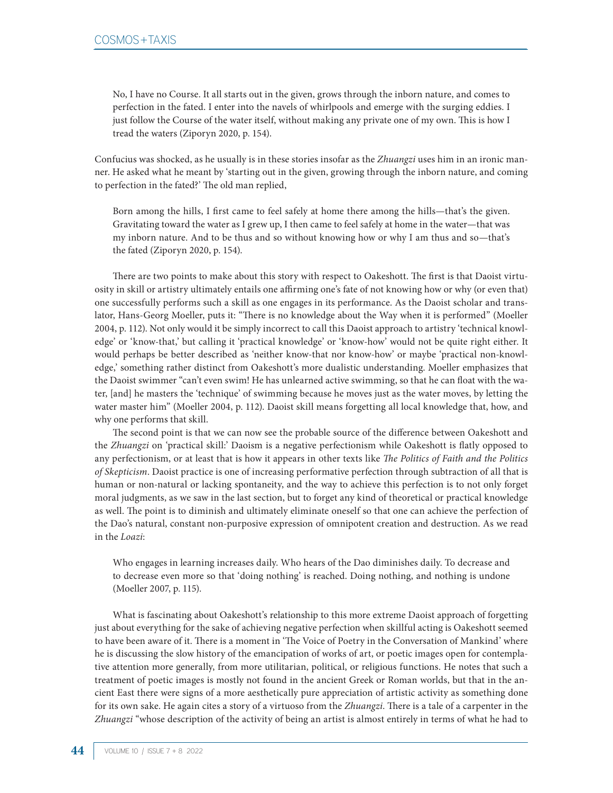No, I have no Course. It all starts out in the given, grows through the inborn nature, and comes to perfection in the fated. I enter into the navels of whirlpools and emerge with the surging eddies. I just follow the Course of the water itself, without making any private one of my own. This is how I tread the waters (Ziporyn 2020, p. 154).

Confucius was shocked, as he usually is in these stories insofar as the *Zhuangzi* uses him in an ironic manner. He asked what he meant by 'starting out in the given, growing through the inborn nature, and coming to perfection in the fated?' The old man replied,

Born among the hills, I first came to feel safely at home there among the hills—that's the given. Gravitating toward the water as I grew up, I then came to feel safely at home in the water—that was my inborn nature. And to be thus and so without knowing how or why I am thus and so—that's the fated (Ziporyn 2020, p. 154).

There are two points to make about this story with respect to Oakeshott. The first is that Daoist virtuosity in skill or artistry ultimately entails one affirming one's fate of not knowing how or why (or even that) one successfully performs such a skill as one engages in its performance. As the Daoist scholar and translator, Hans-Georg Moeller, puts it: "There is no knowledge about the Way when it is performed" (Moeller 2004, p. 112). Not only would it be simply incorrect to call this Daoist approach to artistry 'technical knowledge' or 'know-that,' but calling it 'practical knowledge' or 'know-how' would not be quite right either. It would perhaps be better described as 'neither know-that nor know-how' or maybe 'practical non-knowledge,' something rather distinct from Oakeshott's more dualistic understanding. Moeller emphasizes that the Daoist swimmer "can't even swim! He has unlearned active swimming, so that he can float with the water, [and] he masters the 'technique' of swimming because he moves just as the water moves, by letting the water master him" (Moeller 2004, p. 112). Daoist skill means forgetting all local knowledge that, how, and why one performs that skill.

The second point is that we can now see the probable source of the difference between Oakeshott and the *Zhuangzi* on 'practical skill:' Daoism is a negative perfectionism while Oakeshott is flatly opposed to any perfectionism, or at least that is how it appears in other texts like *The Politics of Faith and the Politics of Skepticism*. Daoist practice is one of increasing performative perfection through subtraction of all that is human or non-natural or lacking spontaneity, and the way to achieve this perfection is to not only forget moral judgments, as we saw in the last section, but to forget any kind of theoretical or practical knowledge as well. The point is to diminish and ultimately eliminate oneself so that one can achieve the perfection of the Dao's natural, constant non-purposive expression of omnipotent creation and destruction. As we read in the *Loazi*:

Who engages in learning increases daily. Who hears of the Dao diminishes daily. To decrease and to decrease even more so that 'doing nothing' is reached. Doing nothing, and nothing is undone (Moeller 2007, p. 115).

What is fascinating about Oakeshott's relationship to this more extreme Daoist approach of forgetting just about everything for the sake of achieving negative perfection when skillful acting is Oakeshott seemed to have been aware of it. There is a moment in 'The Voice of Poetry in the Conversation of Mankind' where he is discussing the slow history of the emancipation of works of art, or poetic images open for contemplative attention more generally, from more utilitarian, political, or religious functions. He notes that such a treatment of poetic images is mostly not found in the ancient Greek or Roman worlds, but that in the ancient East there were signs of a more aesthetically pure appreciation of artistic activity as something done for its own sake. He again cites a story of a virtuoso from the *Zhuangzi*. There is a tale of a carpenter in the *Zhuangzi* "whose description of the activity of being an artist is almost entirely in terms of what he had to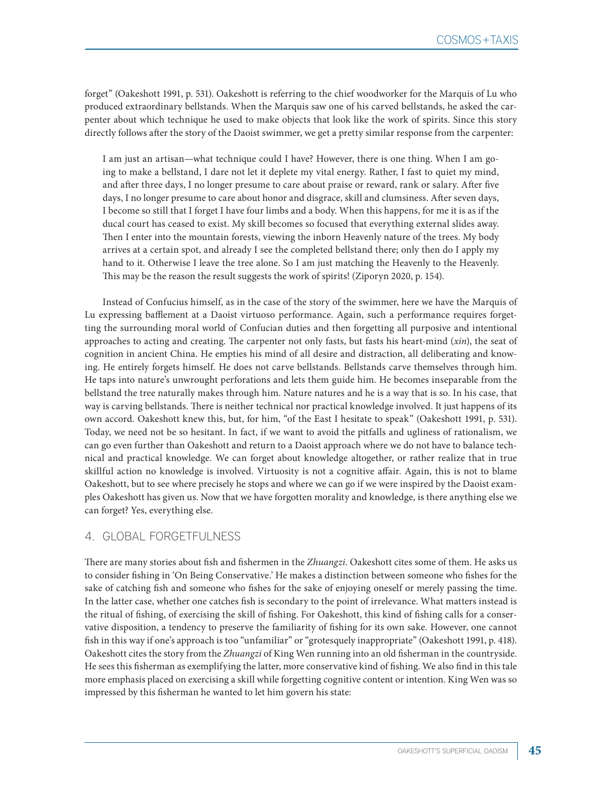forget" (Oakeshott 1991, p. 531). Oakeshott is referring to the chief woodworker for the Marquis of Lu who produced extraordinary bellstands. When the Marquis saw one of his carved bellstands, he asked the carpenter about which technique he used to make objects that look like the work of spirits. Since this story directly follows after the story of the Daoist swimmer, we get a pretty similar response from the carpenter:

I am just an artisan—what technique could I have? However, there is one thing. When I am going to make a bellstand, I dare not let it deplete my vital energy. Rather, I fast to quiet my mind, and after three days, I no longer presume to care about praise or reward, rank or salary. After five days, I no longer presume to care about honor and disgrace, skill and clumsiness. After seven days, I become so still that I forget I have four limbs and a body. When this happens, for me it is as if the ducal court has ceased to exist. My skill becomes so focused that everything external slides away. Then I enter into the mountain forests, viewing the inborn Heavenly nature of the trees. My body arrives at a certain spot, and already I see the completed bellstand there; only then do I apply my hand to it. Otherwise I leave the tree alone. So I am just matching the Heavenly to the Heavenly. This may be the reason the result suggests the work of spirits! (Ziporyn 2020, p. 154).

Instead of Confucius himself, as in the case of the story of the swimmer, here we have the Marquis of Lu expressing bafflement at a Daoist virtuoso performance. Again, such a performance requires forgetting the surrounding moral world of Confucian duties and then forgetting all purposive and intentional approaches to acting and creating. The carpenter not only fasts, but fasts his heart-mind (*xin*), the seat of cognition in ancient China. He empties his mind of all desire and distraction, all deliberating and knowing. He entirely forgets himself. He does not carve bellstands. Bellstands carve themselves through him. He taps into nature's unwrought perforations and lets them guide him. He becomes inseparable from the bellstand the tree naturally makes through him. Nature natures and he is a way that is so. In his case, that way is carving bellstands. There is neither technical nor practical knowledge involved. It just happens of its own accord. Oakeshott knew this, but, for him, "of the East I hesitate to speak" (Oakeshott 1991, p. 531). Today, we need not be so hesitant. In fact, if we want to avoid the pitfalls and ugliness of rationalism, we can go even further than Oakeshott and return to a Daoist approach where we do not have to balance technical and practical knowledge. We can forget about knowledge altogether, or rather realize that in true skillful action no knowledge is involved. Virtuosity is not a cognitive affair. Again, this is not to blame Oakeshott, but to see where precisely he stops and where we can go if we were inspired by the Daoist examples Oakeshott has given us. Now that we have forgotten morality and knowledge, is there anything else we can forget? Yes, everything else.

#### 4. GLOBAL FORGETFULNESS

There are many stories about fish and fishermen in the *Zhuangzi*. Oakeshott cites some of them. He asks us to consider fishing in 'On Being Conservative.' He makes a distinction between someone who fishes for the sake of catching fish and someone who fishes for the sake of enjoying oneself or merely passing the time. In the latter case, whether one catches fish is secondary to the point of irrelevance. What matters instead is the ritual of fishing, of exercising the skill of fishing. For Oakeshott, this kind of fishing calls for a conservative disposition, a tendency to preserve the familiarity of fishing for its own sake. However, one cannot fish in this way if one's approach is too "unfamiliar" or "grotesquely inappropriate" (Oakeshott 1991, p. 418). Oakeshott cites the story from the *Zhuangzi* of King Wen running into an old fisherman in the countryside. He sees this fisherman as exemplifying the latter, more conservative kind of fishing. We also find in this tale more emphasis placed on exercising a skill while forgetting cognitive content or intention. King Wen was so impressed by this fisherman he wanted to let him govern his state: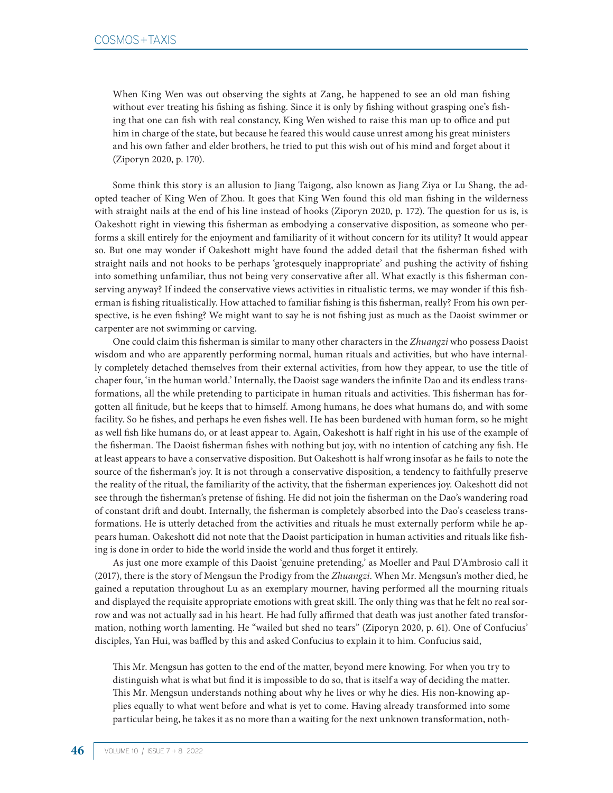When King Wen was out observing the sights at Zang, he happened to see an old man fishing without ever treating his fishing as fishing. Since it is only by fishing without grasping one's fishing that one can fish with real constancy, King Wen wished to raise this man up to office and put him in charge of the state, but because he feared this would cause unrest among his great ministers and his own father and elder brothers, he tried to put this wish out of his mind and forget about it (Ziporyn 2020, p. 170).

Some think this story is an allusion to Jiang Taigong, also known as Jiang Ziya or Lu Shang, the adopted teacher of King Wen of Zhou. It goes that King Wen found this old man fishing in the wilderness with straight nails at the end of his line instead of hooks (Ziporyn 2020, p. 172). The question for us is, is Oakeshott right in viewing this fisherman as embodying a conservative disposition, as someone who performs a skill entirely for the enjoyment and familiarity of it without concern for its utility? It would appear so. But one may wonder if Oakeshott might have found the added detail that the fisherman fished with straight nails and not hooks to be perhaps 'grotesquely inappropriate' and pushing the activity of fishing into something unfamiliar, thus not being very conservative after all. What exactly is this fisherman conserving anyway? If indeed the conservative views activities in ritualistic terms, we may wonder if this fisherman is fishing ritualistically. How attached to familiar fishing is this fisherman, really? From his own perspective, is he even fishing? We might want to say he is not fishing just as much as the Daoist swimmer or carpenter are not swimming or carving.

One could claim this fisherman is similar to many other characters in the *Zhuangzi* who possess Daoist wisdom and who are apparently performing normal, human rituals and activities, but who have internally completely detached themselves from their external activities, from how they appear, to use the title of chaper four, 'in the human world.' Internally, the Daoist sage wanders the infinite Dao and its endless transformations, all the while pretending to participate in human rituals and activities. This fisherman has forgotten all finitude, but he keeps that to himself. Among humans, he does what humans do, and with some facility. So he fishes, and perhaps he even fishes well. He has been burdened with human form, so he might as well fish like humans do, or at least appear to. Again, Oakeshott is half right in his use of the example of the fisherman. The Daoist fisherman fishes with nothing but joy, with no intention of catching any fish. He at least appears to have a conservative disposition. But Oakeshott is half wrong insofar as he fails to note the source of the fisherman's joy. It is not through a conservative disposition, a tendency to faithfully preserve the reality of the ritual, the familiarity of the activity, that the fisherman experiences joy. Oakeshott did not see through the fisherman's pretense of fishing. He did not join the fisherman on the Dao's wandering road of constant drift and doubt. Internally, the fisherman is completely absorbed into the Dao's ceaseless transformations. He is utterly detached from the activities and rituals he must externally perform while he appears human. Oakeshott did not note that the Daoist participation in human activities and rituals like fishing is done in order to hide the world inside the world and thus forget it entirely.

As just one more example of this Daoist 'genuine pretending,' as Moeller and Paul D'Ambrosio call it (2017), there is the story of Mengsun the Prodigy from the *Zhuangzi*. When Mr. Mengsun's mother died, he gained a reputation throughout Lu as an exemplary mourner, having performed all the mourning rituals and displayed the requisite appropriate emotions with great skill. The only thing was that he felt no real sorrow and was not actually sad in his heart. He had fully affirmed that death was just another fated transformation, nothing worth lamenting. He "wailed but shed no tears" (Ziporyn 2020, p. 61). One of Confucius' disciples, Yan Hui, was baffled by this and asked Confucius to explain it to him. Confucius said,

This Mr. Mengsun has gotten to the end of the matter, beyond mere knowing. For when you try to distinguish what is what but find it is impossible to do so, that is itself a way of deciding the matter. This Mr. Mengsun understands nothing about why he lives or why he dies. His non-knowing applies equally to what went before and what is yet to come. Having already transformed into some particular being, he takes it as no more than a waiting for the next unknown transformation, noth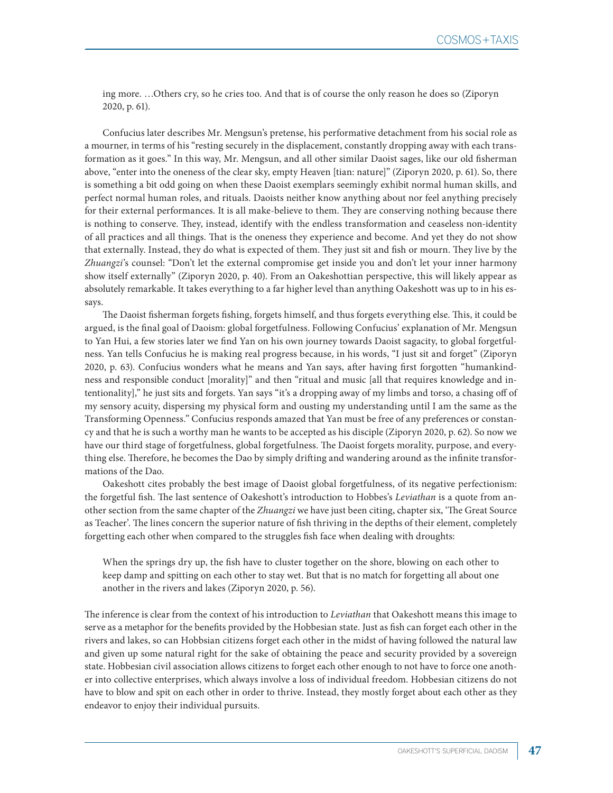ing more. …Others cry, so he cries too. And that is of course the only reason he does so (Ziporyn 2020, p. 61).

Confucius later describes Mr. Mengsun's pretense, his performative detachment from his social role as a mourner, in terms of his "resting securely in the displacement, constantly dropping away with each transformation as it goes." In this way, Mr. Mengsun, and all other similar Daoist sages, like our old fisherman above, "enter into the oneness of the clear sky, empty Heaven [tian: nature]" (Ziporyn 2020, p. 61). So, there is something a bit odd going on when these Daoist exemplars seemingly exhibit normal human skills, and perfect normal human roles, and rituals. Daoists neither know anything about nor feel anything precisely for their external performances. It is all make-believe to them. They are conserving nothing because there is nothing to conserve. They, instead, identify with the endless transformation and ceaseless non-identity of all practices and all things. That is the oneness they experience and become. And yet they do not show that externally. Instead, they do what is expected of them. They just sit and fish or mourn. They live by the *Zhuangzi*'s counsel: "Don't let the external compromise get inside you and don't let your inner harmony show itself externally" (Ziporyn 2020, p. 40). From an Oakeshottian perspective, this will likely appear as absolutely remarkable. It takes everything to a far higher level than anything Oakeshott was up to in his essays.

The Daoist fisherman forgets fishing, forgets himself, and thus forgets everything else. This, it could be argued, is the final goal of Daoism: global forgetfulness. Following Confucius' explanation of Mr. Mengsun to Yan Hui, a few stories later we find Yan on his own journey towards Daoist sagacity, to global forgetfulness. Yan tells Confucius he is making real progress because, in his words, "I just sit and forget" (Ziporyn 2020, p. 63). Confucius wonders what he means and Yan says, after having first forgotten "humankindness and responsible conduct [morality]" and then "ritual and music [all that requires knowledge and intentionality]," he just sits and forgets. Yan says "it's a dropping away of my limbs and torso, a chasing off of my sensory acuity, dispersing my physical form and ousting my understanding until I am the same as the Transforming Openness." Confucius responds amazed that Yan must be free of any preferences or constancy and that he is such a worthy man he wants to be accepted as his disciple (Ziporyn 2020, p. 62). So now we have our third stage of forgetfulness, global forgetfulness. The Daoist forgets morality, purpose, and everything else. Therefore, he becomes the Dao by simply drifting and wandering around as the infinite transformations of the Dao.

Oakeshott cites probably the best image of Daoist global forgetfulness, of its negative perfectionism: the forgetful fish. The last sentence of Oakeshott's introduction to Hobbes's *Leviathan* is a quote from another section from the same chapter of the *Zhuangzi* we have just been citing, chapter six, 'The Great Source as Teacher'. The lines concern the superior nature of fish thriving in the depths of their element, completely forgetting each other when compared to the struggles fish face when dealing with droughts:

When the springs dry up, the fish have to cluster together on the shore, blowing on each other to keep damp and spitting on each other to stay wet. But that is no match for forgetting all about one another in the rivers and lakes (Ziporyn 2020, p. 56).

The inference is clear from the context of his introduction to *Leviathan* that Oakeshott means this image to serve as a metaphor for the benefits provided by the Hobbesian state. Just as fish can forget each other in the rivers and lakes, so can Hobbsian citizens forget each other in the midst of having followed the natural law and given up some natural right for the sake of obtaining the peace and security provided by a sovereign state. Hobbesian civil association allows citizens to forget each other enough to not have to force one another into collective enterprises, which always involve a loss of individual freedom. Hobbesian citizens do not have to blow and spit on each other in order to thrive. Instead, they mostly forget about each other as they endeavor to enjoy their individual pursuits.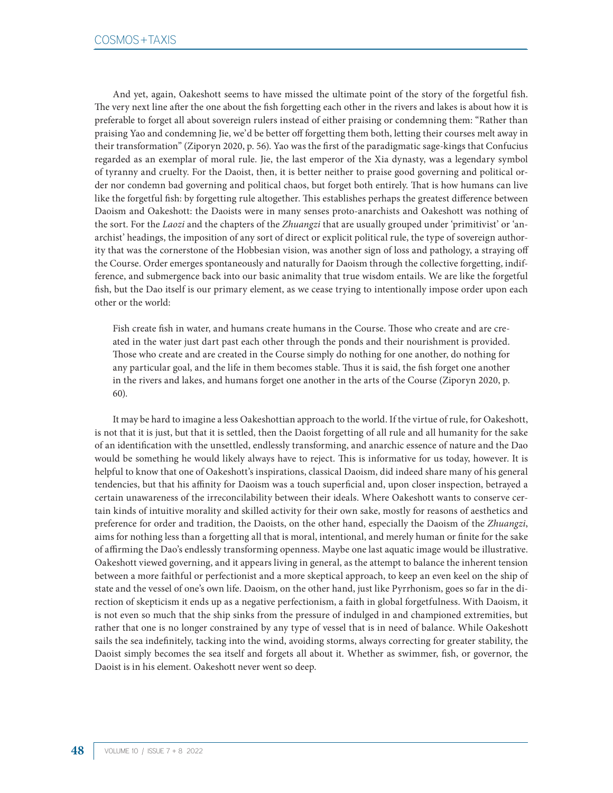And yet, again, Oakeshott seems to have missed the ultimate point of the story of the forgetful fish. The very next line after the one about the fish forgetting each other in the rivers and lakes is about how it is preferable to forget all about sovereign rulers instead of either praising or condemning them: "Rather than praising Yao and condemning Jie, we'd be better off forgetting them both, letting their courses melt away in their transformation" (Ziporyn 2020, p. 56). Yao was the first of the paradigmatic sage-kings that Confucius regarded as an exemplar of moral rule. Jie, the last emperor of the Xia dynasty, was a legendary symbol of tyranny and cruelty. For the Daoist, then, it is better neither to praise good governing and political order nor condemn bad governing and political chaos, but forget both entirely. That is how humans can live like the forgetful fish: by forgetting rule altogether. This establishes perhaps the greatest difference between Daoism and Oakeshott: the Daoists were in many senses proto-anarchists and Oakeshott was nothing of the sort. For the *Laozi* and the chapters of the *Zhuangzi* that are usually grouped under 'primitivist' or 'anarchist' headings, the imposition of any sort of direct or explicit political rule, the type of sovereign authority that was the cornerstone of the Hobbesian vision, was another sign of loss and pathology, a straying off the Course. Order emerges spontaneously and naturally for Daoism through the collective forgetting, indifference, and submergence back into our basic animality that true wisdom entails. We are like the forgetful fish, but the Dao itself is our primary element, as we cease trying to intentionally impose order upon each other or the world:

Fish create fish in water, and humans create humans in the Course. Those who create and are created in the water just dart past each other through the ponds and their nourishment is provided. Those who create and are created in the Course simply do nothing for one another, do nothing for any particular goal, and the life in them becomes stable. Thus it is said, the fish forget one another in the rivers and lakes, and humans forget one another in the arts of the Course (Ziporyn 2020, p. 60).

It may be hard to imagine a less Oakeshottian approach to the world. If the virtue of rule, for Oakeshott, is not that it is just, but that it is settled, then the Daoist forgetting of all rule and all humanity for the sake of an identification with the unsettled, endlessly transforming, and anarchic essence of nature and the Dao would be something he would likely always have to reject. This is informative for us today, however. It is helpful to know that one of Oakeshott's inspirations, classical Daoism, did indeed share many of his general tendencies, but that his affinity for Daoism was a touch superficial and, upon closer inspection, betrayed a certain unawareness of the irreconcilability between their ideals. Where Oakeshott wants to conserve certain kinds of intuitive morality and skilled activity for their own sake, mostly for reasons of aesthetics and preference for order and tradition, the Daoists, on the other hand, especially the Daoism of the *Zhuangzi*, aims for nothing less than a forgetting all that is moral, intentional, and merely human or finite for the sake of affirming the Dao's endlessly transforming openness. Maybe one last aquatic image would be illustrative. Oakeshott viewed governing, and it appears living in general, as the attempt to balance the inherent tension between a more faithful or perfectionist and a more skeptical approach, to keep an even keel on the ship of state and the vessel of one's own life. Daoism, on the other hand, just like Pyrrhonism, goes so far in the direction of skepticism it ends up as a negative perfectionism, a faith in global forgetfulness. With Daoism, it is not even so much that the ship sinks from the pressure of indulged in and championed extremities, but rather that one is no longer constrained by any type of vessel that is in need of balance. While Oakeshott sails the sea indefinitely, tacking into the wind, avoiding storms, always correcting for greater stability, the Daoist simply becomes the sea itself and forgets all about it. Whether as swimmer, fish, or governor, the Daoist is in his element. Oakeshott never went so deep.